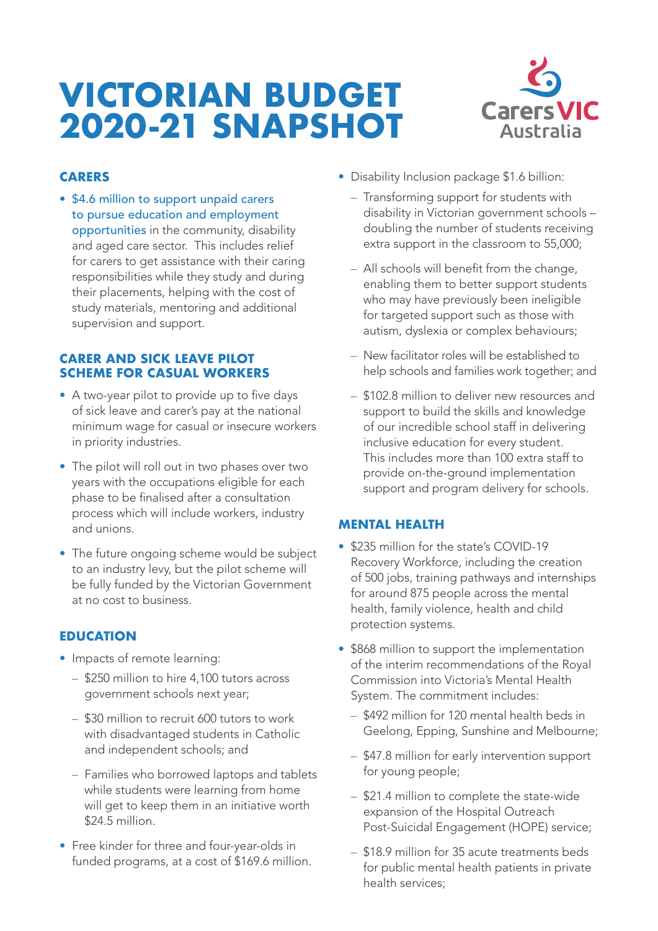# **VICTORIAN BUDGET 2020-21 SNAPSHOT**



## **CARERS**

• \$4.6 million to support unpaid carers to pursue education and employment opportunities in the community, disability and aged care sector. This includes relief for carers to get assistance with their caring responsibilities while they study and during their placements, helping with the cost of study materials, mentoring and additional supervision and support.

#### **CARER AND SICK LEAVE PILOT SCHEME FOR CASUAL WORKERS**

- A two-year pilot to provide up to five days of sick leave and carer's pay at the national minimum wage for casual or insecure workers in priority industries.
- The pilot will roll out in two phases over two years with the occupations eligible for each phase to be finalised after a consultation process which will include workers, industry and unions.
- The future ongoing scheme would be subject to an industry levy, but the pilot scheme will be fully funded by the Victorian Government at no cost to business.

#### **EDUCATION**

- Impacts of remote learning:
	- \$250 million to hire 4,100 tutors across government schools next year;
	- \$30 million to recruit 600 tutors to work with disadvantaged students in Catholic and independent schools; and
	- Families who borrowed laptops and tablets while students were learning from home will get to keep them in an initiative worth \$24.5 million.
- Free kinder for three and four-year-olds in funded programs, at a cost of \$169.6 million.
- Disability Inclusion package \$1.6 billion:
	- Transforming support for students with disability in Victorian government schools – doubling the number of students receiving extra support in the classroom to 55,000;
	- All schools will benefit from the change, enabling them to better support students who may have previously been ineligible for targeted support such as those with autism, dyslexia or complex behaviours;
	- New facilitator roles will be established to help schools and families work together; and
	- \$102.8 million to deliver new resources and support to build the skills and knowledge of our incredible school staff in delivering inclusive education for every student. This includes more than 100 extra staff to provide on-the-ground implementation support and program delivery for schools.

#### **MENTAL HEALTH**

- \$235 million for the state's COVID-19 Recovery Workforce, including the creation of 500 jobs, training pathways and internships for around 875 people across the mental health, family violence, health and child protection systems.
- \$868 million to support the implementation of the interim recommendations of the Royal Commission into Victoria's Mental Health System. The commitment includes:
	- \$492 million for 120 mental health beds in Geelong, Epping, Sunshine and Melbourne;
	- \$47.8 million for early intervention support for young people;
	- \$21.4 million to complete the state-wide expansion of the Hospital Outreach Post-Suicidal Engagement (HOPE) service;
	- \$18.9 million for 35 acute treatments beds for public mental health patients in private health services;